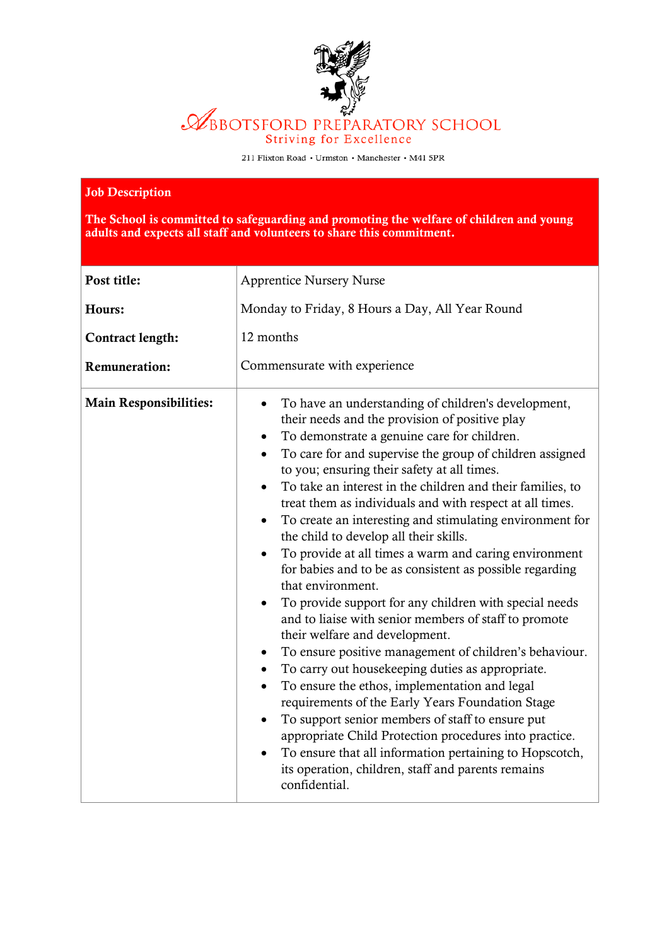

211 Flixton Road • Urmston • Manchester • M41 5PR

## Job Description

The School is committed to safeguarding and promoting the welfare of children and young adults and expects all staff and volunteers to share this commitment.

| Post title:                   | <b>Apprentice Nursery Nurse</b>                                                                                                                                                                                                                                                                                                                                                                                                                                                                                                                                                                                                                                                                                                                                                                                                                                                                                                                                                                                                                                                                                                                                                                                                                                   |
|-------------------------------|-------------------------------------------------------------------------------------------------------------------------------------------------------------------------------------------------------------------------------------------------------------------------------------------------------------------------------------------------------------------------------------------------------------------------------------------------------------------------------------------------------------------------------------------------------------------------------------------------------------------------------------------------------------------------------------------------------------------------------------------------------------------------------------------------------------------------------------------------------------------------------------------------------------------------------------------------------------------------------------------------------------------------------------------------------------------------------------------------------------------------------------------------------------------------------------------------------------------------------------------------------------------|
| Hours:                        | Monday to Friday, 8 Hours a Day, All Year Round                                                                                                                                                                                                                                                                                                                                                                                                                                                                                                                                                                                                                                                                                                                                                                                                                                                                                                                                                                                                                                                                                                                                                                                                                   |
| <b>Contract length:</b>       | 12 months                                                                                                                                                                                                                                                                                                                                                                                                                                                                                                                                                                                                                                                                                                                                                                                                                                                                                                                                                                                                                                                                                                                                                                                                                                                         |
| <b>Remuneration:</b>          | Commensurate with experience                                                                                                                                                                                                                                                                                                                                                                                                                                                                                                                                                                                                                                                                                                                                                                                                                                                                                                                                                                                                                                                                                                                                                                                                                                      |
| <b>Main Responsibilities:</b> | To have an understanding of children's development,<br>their needs and the provision of positive play<br>To demonstrate a genuine care for children.<br>To care for and supervise the group of children assigned<br>to you; ensuring their safety at all times.<br>To take an interest in the children and their families, to<br>treat them as individuals and with respect at all times.<br>To create an interesting and stimulating environment for<br>the child to develop all their skills.<br>To provide at all times a warm and caring environment<br>for babies and to be as consistent as possible regarding<br>that environment.<br>To provide support for any children with special needs<br>and to liaise with senior members of staff to promote<br>their welfare and development.<br>To ensure positive management of children's behaviour.<br>To carry out housekeeping duties as appropriate.<br>To ensure the ethos, implementation and legal<br>requirements of the Early Years Foundation Stage<br>To support senior members of staff to ensure put<br>appropriate Child Protection procedures into practice.<br>To ensure that all information pertaining to Hopscotch,<br>its operation, children, staff and parents remains<br>confidential. |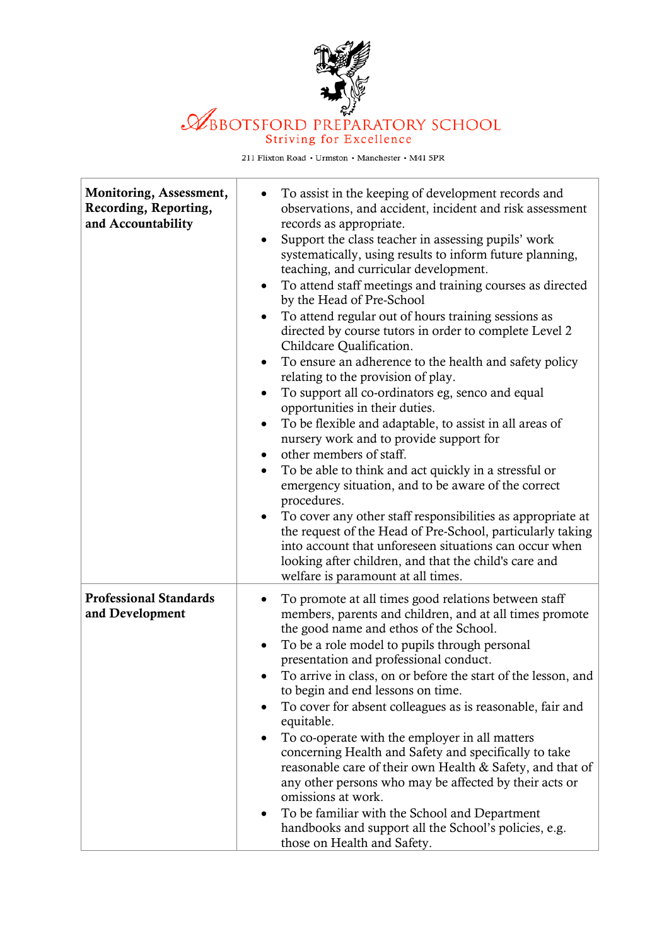

## BBOTSFORD PREPARATORY SCHOOL Striving for Excellence

211 Flixton Road  $\,\textcolor{black}{\star}$  Urmston  $\,\textcolor{black}{\star}$  Manchester  $\,\textcolor{black}{\star}$  M41 5PR

| Monitoring, Assessment,<br>Recording, Reporting,<br>and Accountability | To assist in the keeping of development records and<br>observations, and accident, incident and risk assessment<br>records as appropriate.<br>Support the class teacher in assessing pupils' work<br>$\bullet$<br>systematically, using results to inform future planning,<br>teaching, and curricular development.<br>To attend staff meetings and training courses as directed<br>by the Head of Pre-School<br>To attend regular out of hours training sessions as<br>directed by course tutors in order to complete Level 2<br>Childcare Qualification.<br>To ensure an adherence to the health and safety policy<br>$\bullet$<br>relating to the provision of play.<br>To support all co-ordinators eg, senco and equal<br>$\bullet$<br>opportunities in their duties.<br>To be flexible and adaptable, to assist in all areas of<br>$\bullet$<br>nursery work and to provide support for<br>other members of staff.<br>$\bullet$<br>To be able to think and act quickly in a stressful or<br>emergency situation, and to be aware of the correct<br>procedures.<br>To cover any other staff responsibilities as appropriate at<br>$\bullet$<br>the request of the Head of Pre-School, particularly taking<br>into account that unforeseen situations can occur when<br>looking after children, and that the child's care and<br>welfare is paramount at all times. |
|------------------------------------------------------------------------|-------------------------------------------------------------------------------------------------------------------------------------------------------------------------------------------------------------------------------------------------------------------------------------------------------------------------------------------------------------------------------------------------------------------------------------------------------------------------------------------------------------------------------------------------------------------------------------------------------------------------------------------------------------------------------------------------------------------------------------------------------------------------------------------------------------------------------------------------------------------------------------------------------------------------------------------------------------------------------------------------------------------------------------------------------------------------------------------------------------------------------------------------------------------------------------------------------------------------------------------------------------------------------------------------------------------------------------------------------------------------|
| <b>Professional Standards</b><br>and Development                       | To promote at all times good relations between staff<br>members, parents and children, and at all times promote<br>the good name and ethos of the School.<br>To be a role model to pupils through personal<br>$\bullet$<br>presentation and professional conduct.<br>To arrive in class, on or before the start of the lesson, and<br>to begin and end lessons on time.<br>To cover for absent colleagues as is reasonable, fair and<br>equitable.<br>To co-operate with the employer in all matters<br>concerning Health and Safety and specifically to take<br>reasonable care of their own Health & Safety, and that of<br>any other persons who may be affected by their acts or<br>omissions at work.<br>To be familiar with the School and Department<br>$\bullet$<br>handbooks and support all the School's policies, e.g.<br>those on Health and Safety.                                                                                                                                                                                                                                                                                                                                                                                                                                                                                                        |